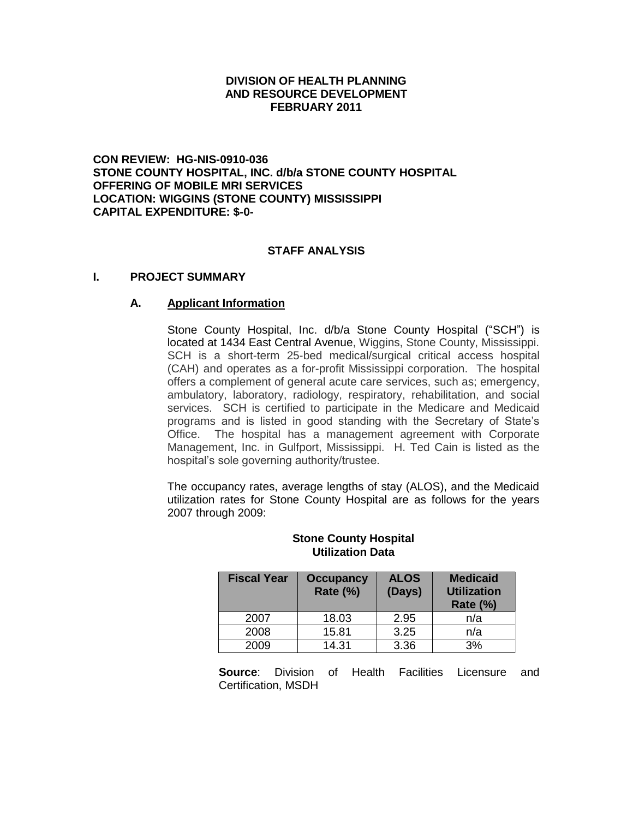## **DIVISION OF HEALTH PLANNING AND RESOURCE DEVELOPMENT FEBRUARY 2011**

**CON REVIEW: HG-NIS-0910-036 STONE COUNTY HOSPITAL, INC. d/b/a STONE COUNTY HOSPITAL OFFERING OF MOBILE MRI SERVICES LOCATION: WIGGINS (STONE COUNTY) MISSISSIPPI CAPITAL EXPENDITURE: \$-0-**

## **STAFF ANALYSIS**

#### **I. PROJECT SUMMARY**

#### **A. Applicant Information**

Stone County Hospital, Inc. d/b/a Stone County Hospital ("SCH") is located at 1434 East Central Avenue, Wiggins, Stone County, Mississippi. SCH is a short-term 25-bed medical/surgical critical access hospital (CAH) and operates as a for-profit Mississippi corporation. The hospital offers a complement of general acute care services, such as; emergency, ambulatory, laboratory, radiology, respiratory, rehabilitation, and social services. SCH is certified to participate in the Medicare and Medicaid programs and is listed in good standing with the Secretary of State's Office. The hospital has a management agreement with Corporate Management, Inc. in Gulfport, Mississippi. H. Ted Cain is listed as the hospital's sole governing authority/trustee.

The occupancy rates, average lengths of stay (ALOS), and the Medicaid utilization rates for Stone County Hospital are as follows for the years 2007 through 2009:

| <b>Fiscal Year</b> | <b>Occupancy</b><br><b>Rate (%)</b> | <b>ALOS</b><br>(Days) | <b>Medicaid</b><br><b>Utilization</b> |
|--------------------|-------------------------------------|-----------------------|---------------------------------------|
|                    |                                     |                       | <b>Rate (%)</b>                       |
| 2007               | 18.03                               | 2.95                  | n/a                                   |
| 2008               | 15.81                               | 3.25                  | n/a                                   |
| 2009               | 14.31                               | 3.36                  | 3%                                    |

#### **Stone County Hospital Utilization Data**

**Source**: Division of Health Facilities Licensure and Certification, MSDH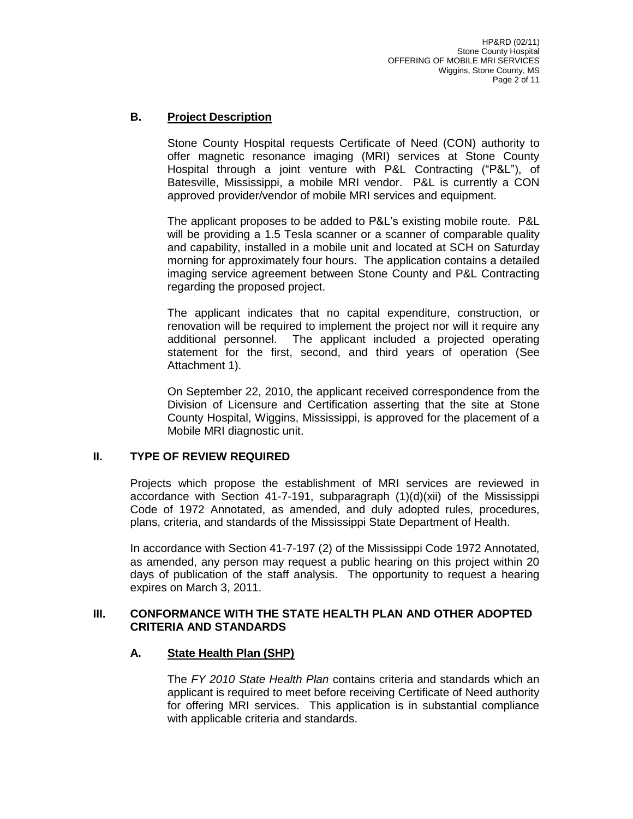# **B. Project Description**

Stone County Hospital requests Certificate of Need (CON) authority to offer magnetic resonance imaging (MRI) services at Stone County Hospital through a joint venture with P&L Contracting ("P&L"), of Batesville, Mississippi, a mobile MRI vendor. P&L is currently a CON approved provider/vendor of mobile MRI services and equipment.

The applicant proposes to be added to P&L's existing mobile route. P&L will be providing a 1.5 Tesla scanner or a scanner of comparable quality and capability, installed in a mobile unit and located at SCH on Saturday morning for approximately four hours. The application contains a detailed imaging service agreement between Stone County and P&L Contracting regarding the proposed project.

The applicant indicates that no capital expenditure, construction, or renovation will be required to implement the project nor will it require any additional personnel. The applicant included a projected operating statement for the first, second, and third years of operation (See Attachment 1).

On September 22, 2010, the applicant received correspondence from the Division of Licensure and Certification asserting that the site at Stone County Hospital, Wiggins, Mississippi, is approved for the placement of a Mobile MRI diagnostic unit.

# **II. TYPE OF REVIEW REQUIRED**

Projects which propose the establishment of MRI services are reviewed in accordance with Section 41-7-191, subparagraph  $(1)(d)(xii)$  of the Mississippi Code of 1972 Annotated, as amended, and duly adopted rules, procedures, plans, criteria, and standards of the Mississippi State Department of Health.

In accordance with Section 41-7-197 (2) of the Mississippi Code 1972 Annotated, as amended, any person may request a public hearing on this project within 20 days of publication of the staff analysis. The opportunity to request a hearing expires on March 3, 2011.

## **III. CONFORMANCE WITH THE STATE HEALTH PLAN AND OTHER ADOPTED CRITERIA AND STANDARDS**

# **A. State Health Plan (SHP)**

The *FY 2010 State Health Plan* contains criteria and standards which an applicant is required to meet before receiving Certificate of Need authority for offering MRI services. This application is in substantial compliance with applicable criteria and standards.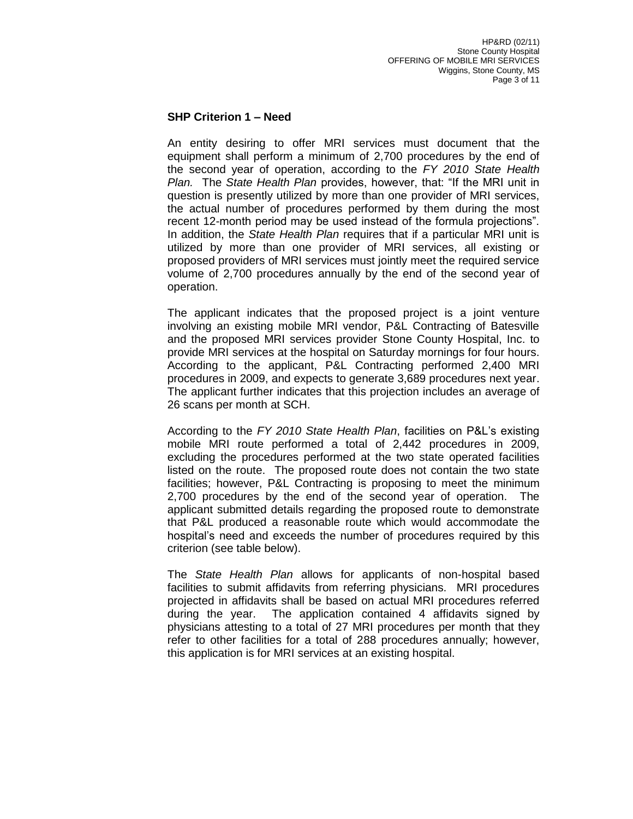## **SHP Criterion 1 – Need**

An entity desiring to offer MRI services must document that the equipment shall perform a minimum of 2,700 procedures by the end of the second year of operation, according to the *FY 2010 State Health Plan.* The *State Health Plan* provides, however, that: "If the MRI unit in question is presently utilized by more than one provider of MRI services, the actual number of procedures performed by them during the most recent 12-month period may be used instead of the formula projections". In addition, the *State Health Plan* requires that if a particular MRI unit is utilized by more than one provider of MRI services, all existing or proposed providers of MRI services must jointly meet the required service volume of 2,700 procedures annually by the end of the second year of operation.

The applicant indicates that the proposed project is a joint venture involving an existing mobile MRI vendor, P&L Contracting of Batesville and the proposed MRI services provider Stone County Hospital, Inc. to provide MRI services at the hospital on Saturday mornings for four hours. According to the applicant, P&L Contracting performed 2,400 MRI procedures in 2009, and expects to generate 3,689 procedures next year. The applicant further indicates that this projection includes an average of 26 scans per month at SCH.

According to the *FY 2010 State Health Plan*, facilities on P&L's existing mobile MRI route performed a total of 2,442 procedures in 2009, excluding the procedures performed at the two state operated facilities listed on the route. The proposed route does not contain the two state facilities; however, P&L Contracting is proposing to meet the minimum 2,700 procedures by the end of the second year of operation. The applicant submitted details regarding the proposed route to demonstrate that P&L produced a reasonable route which would accommodate the hospital's need and exceeds the number of procedures required by this criterion (see table below).

The *State Health Plan* allows for applicants of non-hospital based facilities to submit affidavits from referring physicians. MRI procedures projected in affidavits shall be based on actual MRI procedures referred during the year. The application contained 4 affidavits signed by physicians attesting to a total of 27 MRI procedures per month that they refer to other facilities for a total of 288 procedures annually; however, this application is for MRI services at an existing hospital.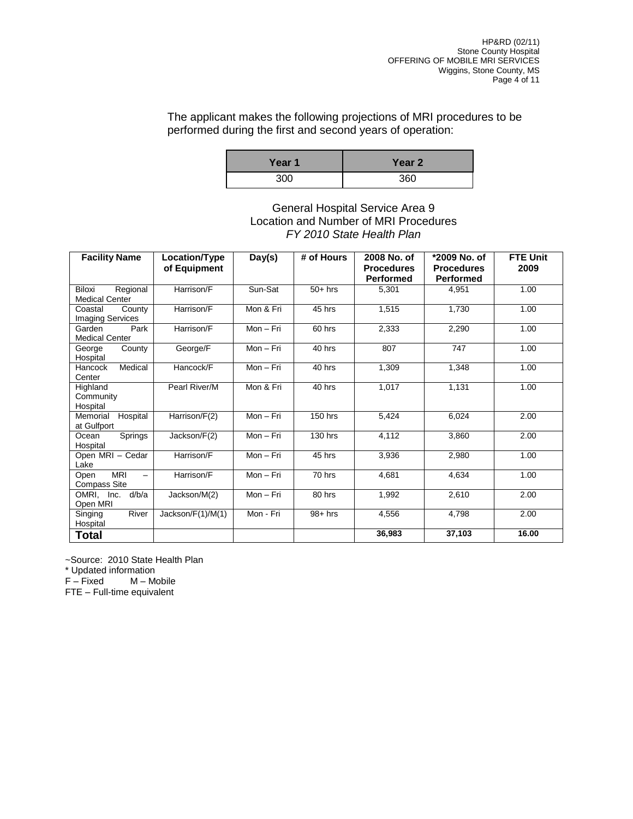The applicant makes the following projections of MRI procedures to be performed during the first and second years of operation:

| <b>Year 1</b> | Year 2 |
|---------------|--------|
| 300           | 360    |

## General Hospital Service Area 9 Location and Number of MRI Procedures *FY 2010 State Health Plan*

| <b>Facility Name</b>                                                  | Location/Type<br>of Equipment | Day(s)    | # of Hours | 2008 No. of<br><b>Procedures</b> | *2009 No. of<br><b>Procedures</b> | <b>FTE Unit</b><br>2009 |
|-----------------------------------------------------------------------|-------------------------------|-----------|------------|----------------------------------|-----------------------------------|-------------------------|
|                                                                       |                               |           |            | <b>Performed</b>                 | <b>Performed</b>                  |                         |
| Regional<br><b>Biloxi</b><br><b>Medical Center</b>                    | Harrison/F                    | Sun-Sat   | $50+$ hrs  | 5,301                            | 4,951                             | 1.00                    |
| Coastal<br>County<br><b>Imaging Services</b>                          | Harrison/F                    | Mon & Fri | 45 hrs     | 1,515                            | 1,730                             | 1.00                    |
| Garden<br>Park<br><b>Medical Center</b>                               | Harrison/F                    | Mon - Fri | 60 hrs     | 2,333                            | 2,290                             | 1.00                    |
| County<br>George<br>Hospital                                          | George/F                      | Mon - Fri | 40 hrs     | 807                              | 747                               | 1.00                    |
| Medical<br>Hancock<br>Center                                          | Hancock/F                     | $Mon-Fri$ | 40 hrs     | 1.309                            | 1.348                             | 1.00                    |
| Highland<br>Community<br>Hospital                                     | Pearl River/M                 | Mon & Fri | 40 hrs     | 1,017                            | 1,131                             | 1.00                    |
| Memorial<br>Hospital<br>at Gulfport                                   | Harrison/F(2)                 | Mon - Fri | 150 hrs    | 5,424                            | 6,024                             | 2.00                    |
| Springs<br>Ocean<br>Hospital                                          | Jackson/F(2)                  | Mon-Fri   | 130 hrs    | 4,112                            | 3,860                             | 2.00                    |
| Open MRI - Cedar<br>Lake                                              | Harrison/F                    | Mon-Fri   | 45 hrs     | 3,936                            | 2,980                             | 1.00                    |
| <b>MRI</b><br>Open<br>$\overline{\phantom{0}}$<br><b>Compass Site</b> | Harrison/F                    | Mon-Fri   | 70 hrs     | 4,681                            | 4,634                             | 1.00                    |
| OMRI, Inc. d/b/a<br>Open MRI                                          | Jackson/M(2)                  | Mon - Fri | 80 hrs     | 1,992                            | 2,610                             | 2.00                    |
| River<br>Singing<br>Hospital                                          | Jackson/F(1)/M(1)             | Mon - Fri | $98+$ hrs  | 4,556                            | 4,798                             | 2.00                    |
| <b>Total</b>                                                          |                               |           |            | 36,983                           | 37,103                            | 16.00                   |

~Source: 2010 State Health Plan

 $*$  Updated information<br> $F - Fixed$   $M - Mc$ 

M – Mobile

FTE – Full-time equivalent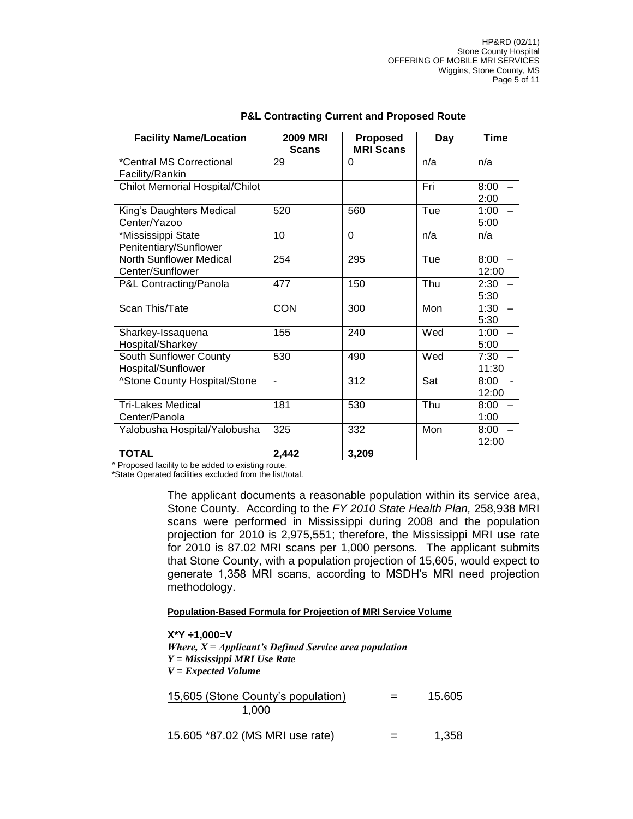| <b>Facility Name/Location</b>                | <b>2009 MRI</b><br><b>Scans</b> | <b>Proposed</b><br><b>MRI Scans</b> | Day | <b>Time</b>   |
|----------------------------------------------|---------------------------------|-------------------------------------|-----|---------------|
| *Central MS Correctional<br>Facility/Rankin  | 29                              | 0                                   | n/a | n/a           |
| <b>Chilot Memorial Hospital/Chilot</b>       |                                 |                                     | Fri | 8:00<br>2:00  |
| King's Daughters Medical<br>Center/Yazoo     | 520                             | 560                                 | Tue | 1:00<br>5:00  |
| *Mississippi State<br>Penitentiary/Sunflower | 10                              | $\Omega$                            | n/a | n/a           |
| North Sunflower Medical<br>Center/Sunflower  | 254                             | 295                                 | Tue | 8:00<br>12:00 |
| P&L Contracting/Panola                       | 477                             | 150                                 | Thu | 2:30<br>5:30  |
| Scan This/Tate                               | <b>CON</b>                      | 300                                 | Mon | 1:30<br>5:30  |
| Sharkey-Issaquena<br>Hospital/Sharkey        | 155                             | 240                                 | Wed | 1:00<br>5:00  |
| South Sunflower County<br>Hospital/Sunflower | 530                             | 490                                 | Wed | 7:30<br>11:30 |
| ^Stone County Hospital/Stone                 | $\blacksquare$                  | 312                                 | Sat | 8:00<br>12:00 |
| <b>Tri-Lakes Medical</b><br>Center/Panola    | 181                             | 530                                 | Thu | 8:00<br>1:00  |
| Yalobusha Hospital/Yalobusha                 | 325                             | 332                                 | Mon | 8:00<br>12:00 |
| <b>TOTAL</b>                                 | 2,442                           | 3,209                               |     |               |

#### **P&L Contracting Current and Proposed Route**

^ Proposed facility to be added to existing route.

\*State Operated facilities excluded from the list/total.

The applicant documents a reasonable population within its service area, Stone County. According to the *FY 2010 State Health Plan,* 258,938 MRI scans were performed in Mississippi during 2008 and the population projection for 2010 is 2,975,551; therefore, the Mississippi MRI use rate for 2010 is 87.02 MRI scans per 1,000 persons. The applicant submits that Stone County, with a population projection of 15,605, would expect to generate 1,358 MRI scans, according to MSDH's MRI need projection methodology.

#### **Population-Based Formula for Projection of MRI Service Volume**

| X*Y ÷1,000=V<br>Where, $X =$ Applicant's Defined Service area population<br>$Y = M$ ississippi MRI Use Rate<br>$V = Expected Volume$ |  |        |  |  |
|--------------------------------------------------------------------------------------------------------------------------------------|--|--------|--|--|
| 15,605 (Stone County's population)<br>1.000                                                                                          |  | 15.605 |  |  |
| 15.605 *87.02 (MS MRI use rate)                                                                                                      |  | 58     |  |  |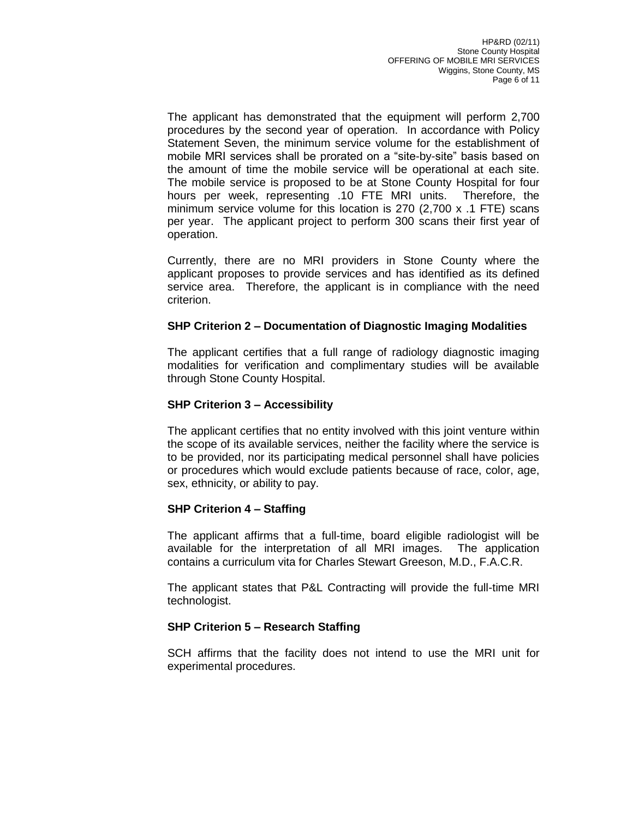The applicant has demonstrated that the equipment will perform 2,700 procedures by the second year of operation. In accordance with Policy Statement Seven, the minimum service volume for the establishment of mobile MRI services shall be prorated on a "site-by-site" basis based on the amount of time the mobile service will be operational at each site. The mobile service is proposed to be at Stone County Hospital for four hours per week, representing .10 FTE MRI units. Therefore, the minimum service volume for this location is 270 (2,700 x .1 FTE) scans per year. The applicant project to perform 300 scans their first year of operation.

Currently, there are no MRI providers in Stone County where the applicant proposes to provide services and has identified as its defined service area. Therefore, the applicant is in compliance with the need criterion.

## **SHP Criterion 2 – Documentation of Diagnostic Imaging Modalities**

The applicant certifies that a full range of radiology diagnostic imaging modalities for verification and complimentary studies will be available through Stone County Hospital.

# **SHP Criterion 3 – Accessibility**

The applicant certifies that no entity involved with this joint venture within the scope of its available services, neither the facility where the service is to be provided, nor its participating medical personnel shall have policies or procedures which would exclude patients because of race, color, age, sex, ethnicity, or ability to pay.

#### **SHP Criterion 4 – Staffing**

The applicant affirms that a full-time, board eligible radiologist will be available for the interpretation of all MRI images. The application contains a curriculum vita for Charles Stewart Greeson, M.D., F.A.C.R.

The applicant states that P&L Contracting will provide the full-time MRI technologist.

# **SHP Criterion 5 – Research Staffing**

SCH affirms that the facility does not intend to use the MRI unit for experimental procedures.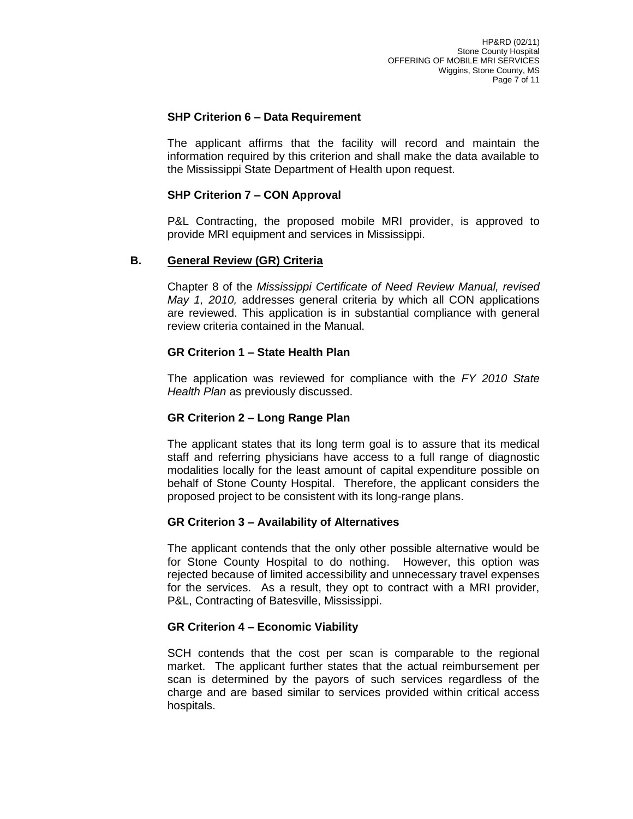## **SHP Criterion 6 – Data Requirement**

The applicant affirms that the facility will record and maintain the information required by this criterion and shall make the data available to the Mississippi State Department of Health upon request.

### **SHP Criterion 7 – CON Approval**

P&L Contracting, the proposed mobile MRI provider, is approved to provide MRI equipment and services in Mississippi.

## **B. General Review (GR) Criteria**

Chapter 8 of the *Mississippi Certificate of Need Review Manual, revised May 1, 2010,* addresses general criteria by which all CON applications are reviewed. This application is in substantial compliance with general review criteria contained in the Manual.

## **GR Criterion 1 – State Health Plan**

The application was reviewed for compliance with the *FY 2010 State Health Plan* as previously discussed.

# **GR Criterion 2 – Long Range Plan**

The applicant states that its long term goal is to assure that its medical staff and referring physicians have access to a full range of diagnostic modalities locally for the least amount of capital expenditure possible on behalf of Stone County Hospital. Therefore, the applicant considers the proposed project to be consistent with its long-range plans.

#### **GR Criterion 3 – Availability of Alternatives**

The applicant contends that the only other possible alternative would be for Stone County Hospital to do nothing. However, this option was rejected because of limited accessibility and unnecessary travel expenses for the services. As a result, they opt to contract with a MRI provider, P&L, Contracting of Batesville, Mississippi.

#### **GR Criterion 4 – Economic Viability**

SCH contends that the cost per scan is comparable to the regional market. The applicant further states that the actual reimbursement per scan is determined by the payors of such services regardless of the charge and are based similar to services provided within critical access hospitals.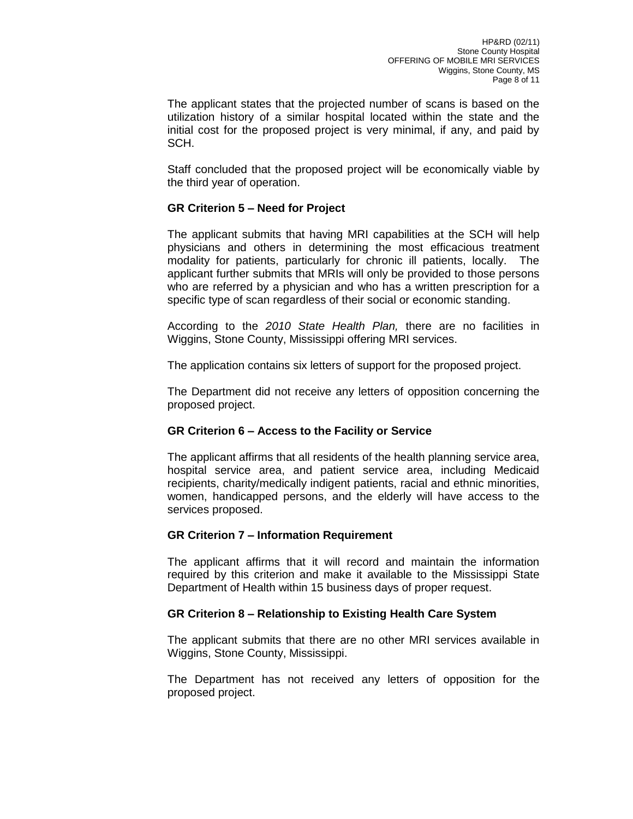The applicant states that the projected number of scans is based on the utilization history of a similar hospital located within the state and the initial cost for the proposed project is very minimal, if any, and paid by SCH.

Staff concluded that the proposed project will be economically viable by the third year of operation.

# **GR Criterion 5 – Need for Project**

The applicant submits that having MRI capabilities at the SCH will help physicians and others in determining the most efficacious treatment modality for patients, particularly for chronic ill patients, locally. The applicant further submits that MRIs will only be provided to those persons who are referred by a physician and who has a written prescription for a specific type of scan regardless of their social or economic standing.

According to the *2010 State Health Plan,* there are no facilities in Wiggins, Stone County, Mississippi offering MRI services.

The application contains six letters of support for the proposed project.

The Department did not receive any letters of opposition concerning the proposed project.

# **GR Criterion 6 – Access to the Facility or Service**

The applicant affirms that all residents of the health planning service area, hospital service area, and patient service area, including Medicaid recipients, charity/medically indigent patients, racial and ethnic minorities, women, handicapped persons, and the elderly will have access to the services proposed.

#### **GR Criterion 7 – Information Requirement**

The applicant affirms that it will record and maintain the information required by this criterion and make it available to the Mississippi State Department of Health within 15 business days of proper request.

#### **GR Criterion 8 – Relationship to Existing Health Care System**

The applicant submits that there are no other MRI services available in Wiggins, Stone County, Mississippi.

The Department has not received any letters of opposition for the proposed project.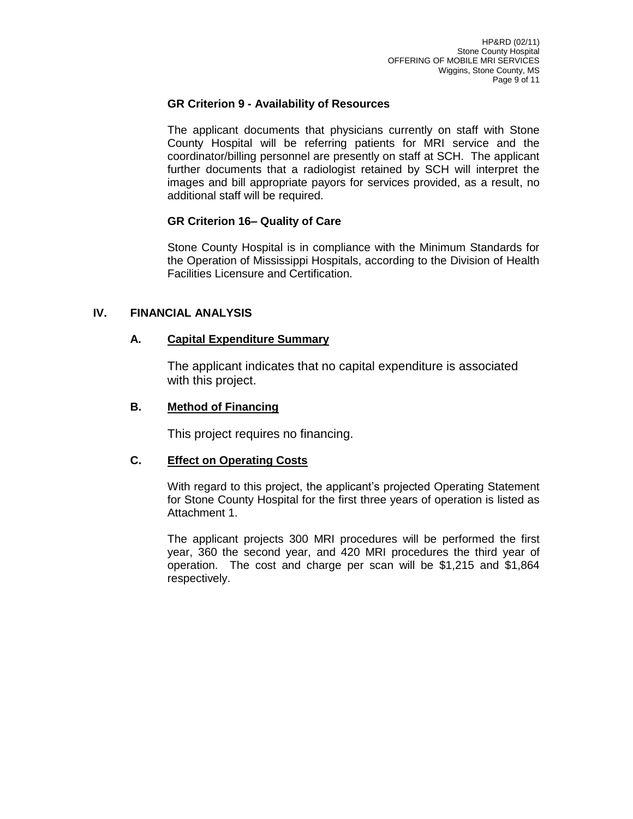### **GR Criterion 9 - Availability of Resources**

The applicant documents that physicians currently on staff with Stone County Hospital will be referring patients for MRI service and the coordinator/billing personnel are presently on staff at SCH. The applicant further documents that a radiologist retained by SCH will interpret the images and bill appropriate payors for services provided, as a result, no additional staff will be required.

# **GR Criterion 16– Quality of Care**

Stone County Hospital is in compliance with the Minimum Standards for the Operation of Mississippi Hospitals, according to the Division of Health Facilities Licensure and Certification.

## **IV. FINANCIAL ANALYSIS**

## **A. Capital Expenditure Summary**

The applicant indicates that no capital expenditure is associated with this project.

## **B. Method of Financing**

This project requires no financing.

# **C. Effect on Operating Costs**

With regard to this project, the applicant's projected Operating Statement for Stone County Hospital for the first three years of operation is listed as Attachment 1.

The applicant projects 300 MRI procedures will be performed the first year, 360 the second year, and 420 MRI procedures the third year of operation. The cost and charge per scan will be \$1,215 and \$1,864 respectively.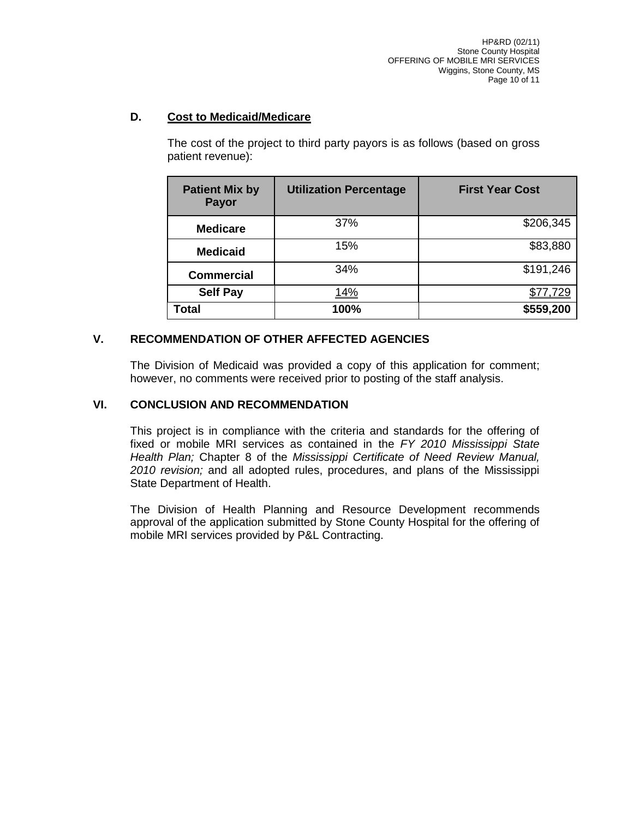# **D. Cost to Medicaid/Medicare**

The cost of the project to third party payors is as follows (based on gross patient revenue):

| <b>Patient Mix by</b><br>Payor | <b>Utilization Percentage</b> | <b>First Year Cost</b> |
|--------------------------------|-------------------------------|------------------------|
| <b>Medicare</b>                | 37%                           | \$206,345              |
| <b>Medicaid</b>                | 15%                           | \$83,880               |
| <b>Commercial</b>              | 34%                           | \$191,246              |
| <b>Self Pay</b>                | <u> 14%</u>                   | <u>729</u>             |
| Total                          | 100%                          | \$559,200              |

# **V. RECOMMENDATION OF OTHER AFFECTED AGENCIES**

The Division of Medicaid was provided a copy of this application for comment; however, no comments were received prior to posting of the staff analysis.

### **VI. CONCLUSION AND RECOMMENDATION**

This project is in compliance with the criteria and standards for the offering of fixed or mobile MRI services as contained in the *FY 2010 Mississippi State Health Plan;* Chapter 8 of the *Mississippi Certificate of Need Review Manual, 2010 revision;* and all adopted rules, procedures, and plans of the Mississippi State Department of Health.

The Division of Health Planning and Resource Development recommends approval of the application submitted by Stone County Hospital for the offering of mobile MRI services provided by P&L Contracting.